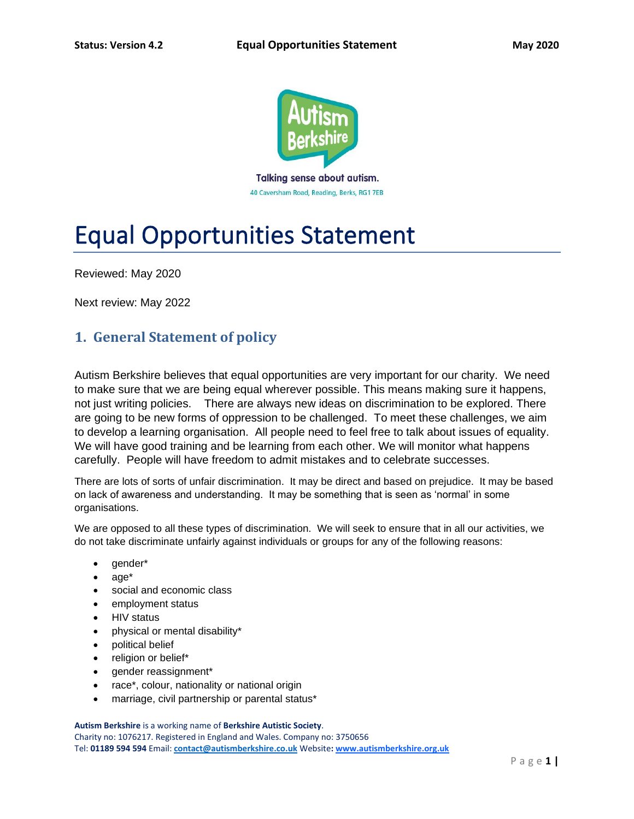

40 Caversham Road, Reading, Berks, RG1 7EB

# Equal Opportunities Statement

Reviewed: May 2020

Next review: May 2022

# **1. General Statement of policy**

Autism Berkshire believes that equal opportunities are very important for our charity. We need to make sure that we are being equal wherever possible. This means making sure it happens, not just writing policies. There are always new ideas on discrimination to be explored. There are going to be new forms of oppression to be challenged. To meet these challenges, we aim to develop a learning organisation. All people need to feel free to talk about issues of equality. We will have good training and be learning from each other. We will monitor what happens carefully. People will have freedom to admit mistakes and to celebrate successes.

There are lots of sorts of unfair discrimination. It may be direct and based on prejudice. It may be based on lack of awareness and understanding. It may be something that is seen as 'normal' in some organisations.

We are opposed to all these types of discrimination. We will seek to ensure that in all our activities, we do not take discriminate unfairly against individuals or groups for any of the following reasons:

- gender\*
- age\*
- social and economic class
- employment status
- HIV status
- physical or mental disability\*
- political belief
- religion or belief\*
- gender reassignment\*
- race\*, colour, nationality or national origin
- marriage, civil partnership or parental status\*

**Autism Berkshire** is a working name of **Berkshire Autistic Society**.

Charity no: 1076217. Registered in England and Wales. Company no: 3750656 Tel: **01189 594 594** Email: **[contact@autismberkshire.co.uk](mailto:contact@autismberkshire.co.uk)** Website**: www.autismberkshire.org.uk**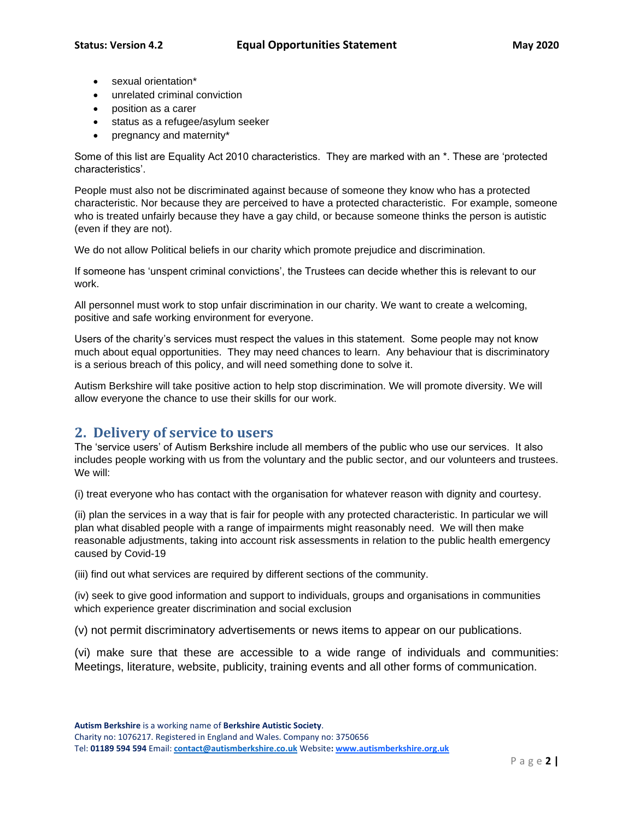- sexual orientation\*
- unrelated criminal conviction
- position as a carer
- status as a refugee/asylum seeker
- pregnancy and maternity\*

Some of this list are Equality Act 2010 characteristics. They are marked with an \*. These are 'protected characteristics'.

People must also not be discriminated against because of someone they know who has a protected characteristic. Nor because they are perceived to have a protected characteristic. For example, someone who is treated unfairly because they have a gay child, or because someone thinks the person is autistic (even if they are not).

We do not allow Political beliefs in our charity which promote prejudice and discrimination.

If someone has 'unspent criminal convictions', the Trustees can decide whether this is relevant to our work.

All personnel must work to stop unfair discrimination in our charity. We want to create a welcoming, positive and safe working environment for everyone.

Users of the charity's services must respect the values in this statement. Some people may not know much about equal opportunities. They may need chances to learn. Any behaviour that is discriminatory is a serious breach of this policy, and will need something done to solve it.

Autism Berkshire will take positive action to help stop discrimination. We will promote diversity. We will allow everyone the chance to use their skills for our work.

#### **2. Delivery of service to users**

The 'service users' of Autism Berkshire include all members of the public who use our services. It also includes people working with us from the voluntary and the public sector, and our volunteers and trustees. We will:

(i) treat everyone who has contact with the organisation for whatever reason with dignity and courtesy.

(ii) plan the services in a way that is fair for people with any protected characteristic. In particular we will plan what disabled people with a range of impairments might reasonably need. We will then make reasonable adjustments, taking into account risk assessments in relation to the public health emergency caused by Covid-19

(iii) find out what services are required by different sections of the community.

(iv) seek to give good information and support to individuals, groups and organisations in communities which experience greater discrimination and social exclusion

(v) not permit discriminatory advertisements or news items to appear on our publications.

(vi) make sure that these are accessible to a wide range of individuals and communities: Meetings, literature, website, publicity, training events and all other forms of communication.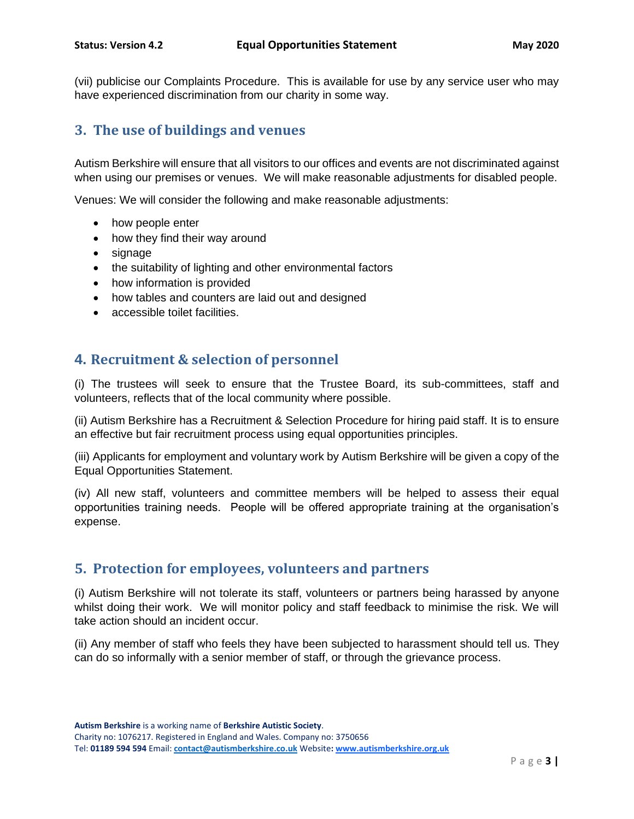(vii) publicise our Complaints Procedure. This is available for use by any service user who may have experienced discrimination from our charity in some way.

## **3. The use of buildings and venues**

Autism Berkshire will ensure that all visitors to our offices and events are not discriminated against when using our premises or venues. We will make reasonable adjustments for disabled people.

Venues: We will consider the following and make reasonable adjustments:

- how people enter
- how they find their way around
- signage
- the suitability of lighting and other environmental factors
- how information is provided
- how tables and counters are laid out and designed
- accessible toilet facilities.

#### **4. Recruitment & selection of personnel**

(i) The trustees will seek to ensure that the Trustee Board, its sub-committees, staff and volunteers, reflects that of the local community where possible.

(ii) Autism Berkshire has a Recruitment & Selection Procedure for hiring paid staff. It is to ensure an effective but fair recruitment process using equal opportunities principles.

(iii) Applicants for employment and voluntary work by Autism Berkshire will be given a copy of the Equal Opportunities Statement.

(iv) All new staff, volunteers and committee members will be helped to assess their equal opportunities training needs. People will be offered appropriate training at the organisation's expense.

#### **5. Protection for employees, volunteers and partners**

(i) Autism Berkshire will not tolerate its staff, volunteers or partners being harassed by anyone whilst doing their work. We will monitor policy and staff feedback to minimise the risk. We will take action should an incident occur.

(ii) Any member of staff who feels they have been subjected to harassment should tell us. They can do so informally with a senior member of staff, or through the grievance process.